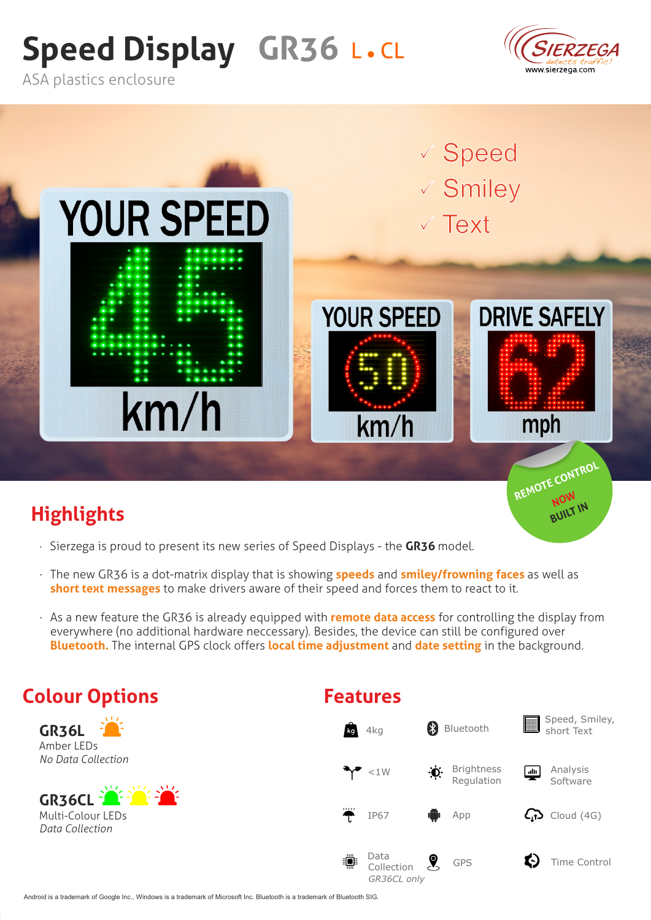# **Speed Display GR36 L.CL**



**NOW**<br>BUILT IN

ASA plastics enclosure



## **Highlights**

- Sierzega is proud to present its new series of Speed Displays the **GR36** model.
- The new GR36 is a dot-matrix display that is showing **speeds** and **smiley/frowning faces** as well as **short text messages** to make drivers aware of their speed and forces them to react to it.
- As a new feature the GR36 is already equipped with **remote data access** for controlling the display from everywhere (no additional hardware neccessary). Besides, the device can still be configured over **Bluetooth.** The internal GPS clock offers **local time adjustment** and **date setting** in the background.